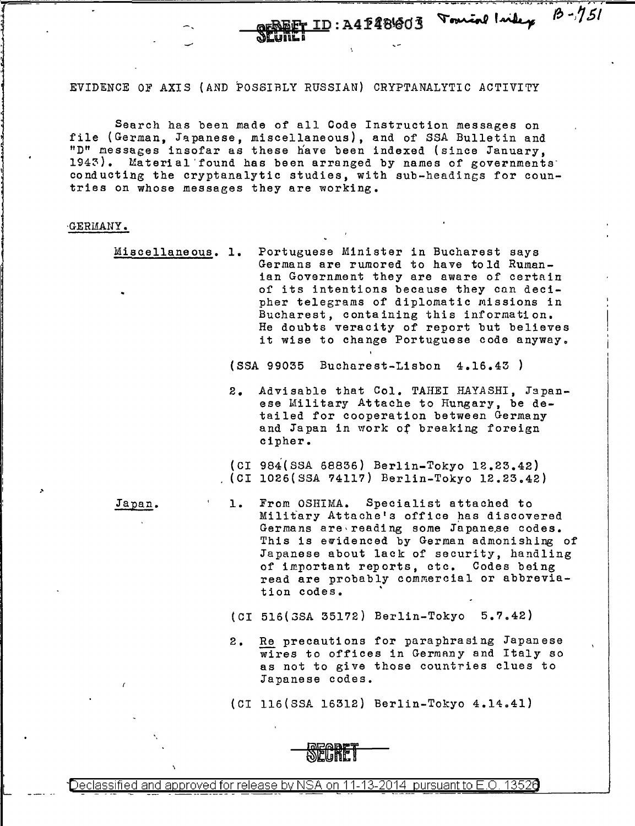EVIDENCE OF AXIS {AND POSSIBLY RUSSIAN) CRYPTANALYTIC ACTIVITY

Search has been made of all Code Instruction messages on file (German, Japanese, miscellaneous), and of SSA Bulletin and "D" messages insofar as these have been indexed (since January, 1943). Material found has been arranged by names of governments conducting the cryptanalytic studies, with sub-headings for countries on whose messages they are working.

## GERMANY.

المختصر المحالين<br>المختصر المحالين

L

Miscellaneous. 1. Portuguese Minister in Bucharest says Germans are rumored to have told Rumanian Government they are aware of certain of its intentions because they can decipher telegrams of diplomatic Missions in Bucharest, containing this information. He doubts veracity of report but believes it wise to change Portuguese code anyway.

 $(SSA 99035 Bucharest-Lisbon 4.16.43)$ 

2. Advisable that Col. TAHEI HAYASHI, Japanese Military Attache to Hungary, be detailed for cooperation between Germany and Japan in work of breaking foreign cipher.

 $\frac{1}{2}$  ID: A4 P481603 Tourine laike  $\frac{1}{2}$ ,  $\frac{1}{2}$ 

--

(CI 984(SSA 68836) Berlin-Tokyo 12.23.42) (CI 1026(SSA 74117) Berlin-Tokyo 12.23.42)

Japan.

- 1. From OSHIMA. Specialist attached to Military Attache's office has discovered Germans are reading some Japanese codes. This is ewidenced by German admonishing of Japanese about lack of security, handling of important reports, etc. Codes being read are probably commercial or abbreviation codes.
- (CI 516(3SA 35172) Berlin-Tokyo 5.7.42)
- 2. Re precautions for paraphrasing Japanese wires to offices in Germany and Italy so as not to give those countries clues to Japanese codes.

{CI 116(SSA 16312) Berlin-Tokyo 4.14.41)



Declassified and approved for release by NSA on 11-13-2014  $\,$  pursuant to E.O. 1352 $0$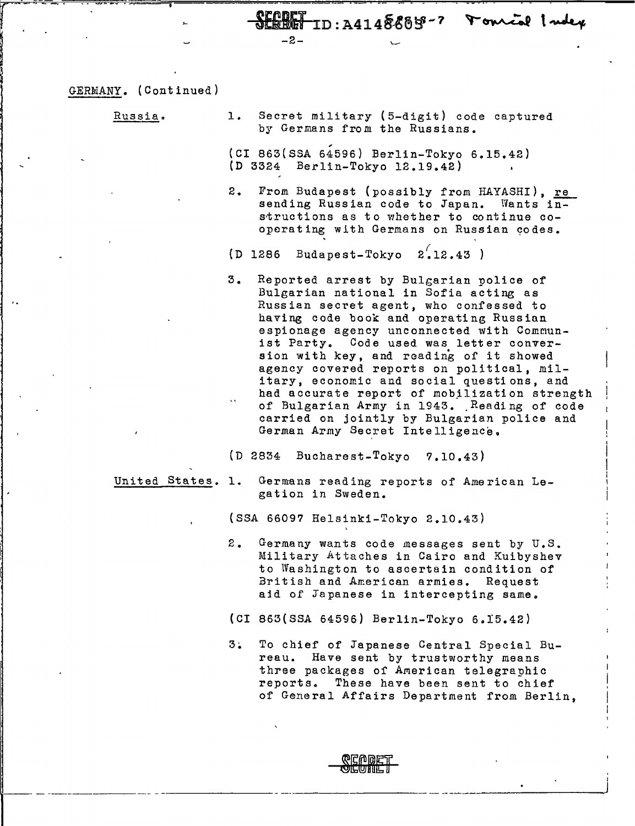<u> CEADET</u><br>SEBBET ID:A4148885-7 Fourcal Index

GERMANY. (Continued)

Russia a

1. Secret military {5-digit) code captured by Germans from the Russians.

(CI 863(SSA 64596) Berlin-Tokyo 6.15.42) (D 3324 Berlin-Tokyo 12.19.42)

- 2. From Budapest (possibly from HAYASHI), re sending Russian code to Japan. Wants  $i\overline{n-1}$ structions as to whether to continue cooperating with Germans on Russian codes.
- (D 1286 Budapest-Tokyo  $2\overline{.}12.43$

-2-

3. Reported arrest by Bulgarian police of Bulgarian national in Sofia acting as Russian secret agent, who confessed to having code book and operating Russian espionage agency unconnected with Communist Party. Code used was letter conversion with key, and reading of it showed agency covered reports on political, military, economic and social questions, and had accurate report of mobilization strength of Bulgarian Army in 1943. Reading of code carried on jointly by Bulgarian police and German Army Secret Intelligence.

(D 2834 Bucharest-Tokyo 7.10.43)

- 
- United States. 1. Germans reading reports of American Legation in Sweden.

{SSA 66097 Helsinki-Tokyo 2.10.43)

- 2. Germany wants code messages sent by U.S. Military Attaches in Cairo and Kuibyshev to Washington to ascertain condition of British and American armies. Request aid of Japanese in intercepting same.
- (CI 863(SSA 64596) Berlin-Tokyo 6.15.42)
- 3~ To chief of Japanese Central Special Bureau. Have sent by trustworthy means three packages of American telegraphic reports. These have been sent to chief of General Affairs Department from Berlin,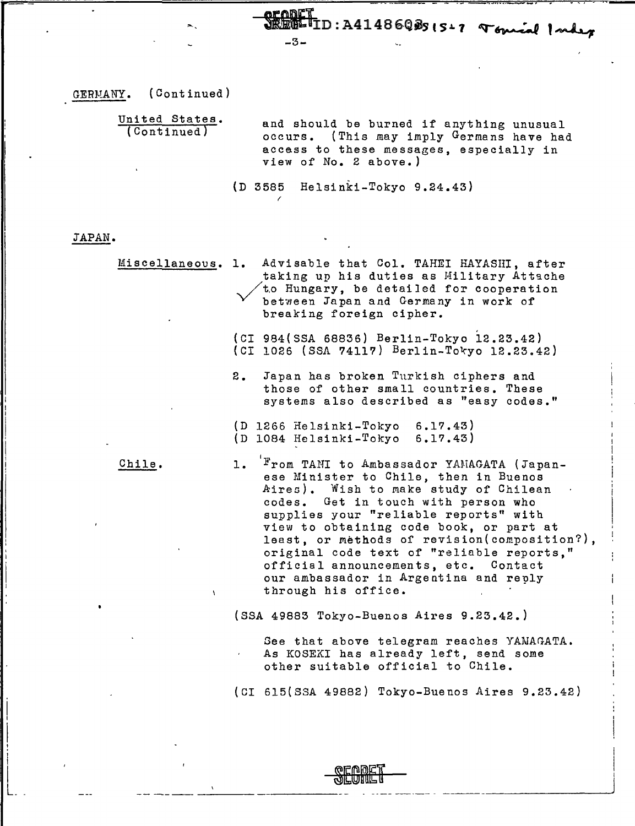$\overline{J}_{ID: A41486QBS|S17}$  Toural Index -3-

GERMANY. (Continued)

United States.<br>(Continued) and should be burned if anything unusual occurs. (This may imply Germans have had access to these messages, especially in view of No. 2 above.)

*(* 

(D 3585 Helsinki-Tokyo 9.24.43)

JAPAN.

I '1 I !  $\vert$ I !

Miscellaneous. 1. Advisable that Col. TAHEI HAYASHI, after taking up his duties as Military Attache /t.o Hungary, be detailed for cooperation between Japan and Germany in work of breaking foreign cipher.

> (CI 984(SSA 68836) Berlin-Tokyo l2.23.42)  $(CI 1026 (SSA 74117) Berlin-Tokyo 12.23.42)$

- 2. Japan has broken Turkish ciphers and those of other small countries. These systems also described as "easy codes."
- (D 1266 Helsinki-Tokyo 6.17.43) (D 1084 Helsinki-Tokyo 6.17.43)

Chile.

1. From TANI to Ambassador YANAGATA (Japanese Minister to Chile, then in Buenos Aires). Wish to make study of Chilean codes. Get in touch with person who supplies your "reliable reports" with view to obtaining code book, or part at least, or methods of revision(composition?), original code text of "reliable reports," official announcements, etc. Contact our ambassador in Argentina and reply through his office.

(SSA 49883 Tokyo-Buenos Aires 9.23.42.)

-- ---------- - ---- ----- - --------------"'

Gee that above telegram reaches YAMAGATA. As KOSEKI has already left, send some other suitable official to Chile.

(CI 615(SSA 49882) Tokyo-Buenos Aires 9.23.42)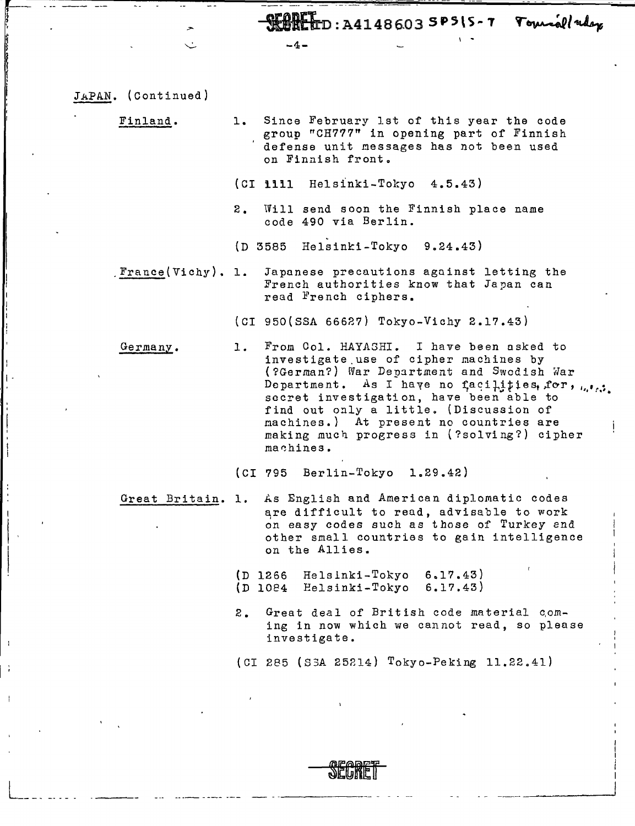" -SIE\n: A414B6.03 **SP5\ s .. <sup>T</sup>**

| JAPAN. | (Continued) |  |
|--------|-------------|--|
|        |             |  |

 $\leftarrow$ *t* 

I - '' ! '

L\_ -- --- ---

Finland. 1. Since February 1st of this year the code group "CH777" in opening part of Finnish defense unit messages has not been used on Finnish front.

 $-4 -$ 

- (CI **iiil** Helsinki-Tokyo 4.5.43)
- 2. Will send soon the Finnish place name code 490 via Berlin.
- $(D 3585$  Helsinki-Tokyo 9.24.43)

\_France(Vichy). 1. Japanese precautions against letting the French authorities know that Japan can read French ciphers.

{CI 950{SSA 66627) Tokyo-Vichy 2.17.43)

Germany. 1. From Col. HAYASHI. I have been asked to investigate.use of cipher machines by {?German?) War Department and Swedish War Department. As I have no facilities, for,  $_{i,j}$ , secret investigation, have been able to find out only a little. (Discussion of machines.) At present no countries are making much progress in (?solving?) cipher machines.

(CI 795 Berlin-Tokyo 1.29.42)

- Great Britain. 1. As English and American diplomatic codes are difficult to read, advisable to work on easy codes such as those of Turkey end other small countries to gain intelligence on the Allies.
	- (D 1266 Helsinki-Tokyo 6.17.43) (D 1084 Helsinki-Tokyo 6.l?.43)
	- 2. Great deal of British code material coming in now which we cannot read, so please investigate.

{CI 285 {S3A 25214) Tokyo-Peking 11.22.41)

--- -------- --- - ------ - - ----\_\_\_\_\_\_ \_\_\_,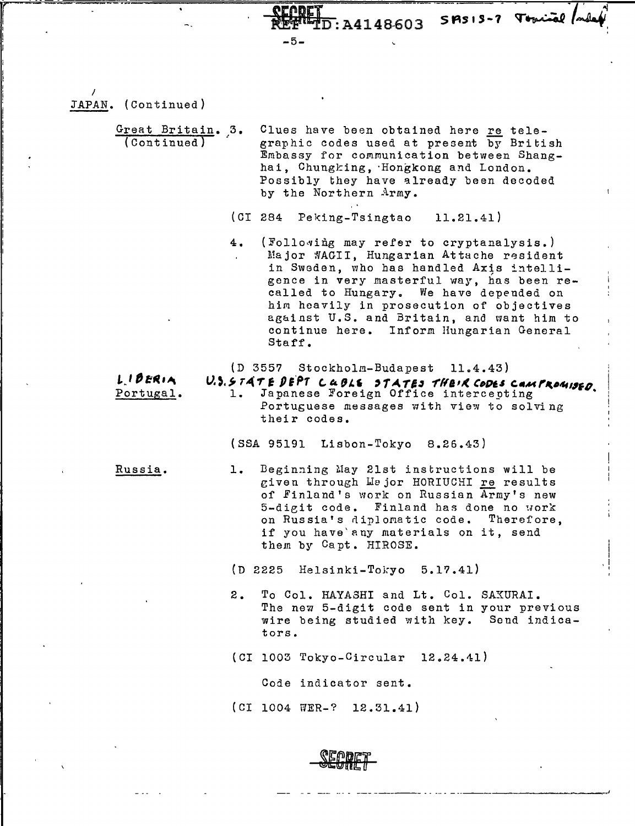I JAPAN. (Continued)

*r* .

I I !<br>! I

> Great Britain. 3. (Continued) Clues have been obtained here re telegraphic codes used at present by British Embassy for communication between Shanghai, Chungking, Hongkong and London. Possibly they have already been decoded by the Northern Army.

-5-

(CI 284 Peking-Tsingtao 11.21.41)

4. (Following may refer to cryptanalysis.) Major WAGII, Hungarian Attache resident in Sweden, who has handled Axis intelligence in very masterful way, has been recalled to Hungary. We have depended on him heavily in prosecution of objectives ag&inst U.S. and Britain, and want him to continue here. Inform Hungarian General Staff.

 $\overline{\text{D}}$ : A4148603 SPSIS-7 Topical (adex

(D 3557 Stockholm-Budapest 11.4.43)

L. I *DERIA* Portugal. **V.).**  $5.74T$  **<b>F**  $9E$ <sup>p</sup>7 *C*  $4.926$  **3**  $7.4T$ *E*s  $7/4T$ *E* $\cdot$ *K* $6$ *OP* $\cdot$ *E* $\cdot$ *C* $\cdot$ *E* $\cdot$ *C* $\cdot$ *E* $\cdot$ *E* $\cdot$ *C* $\cdot$ *E* $\cdot$ *E* $\cdot$ *E* $\cdot$ *E* $\cdot$ *E* $\cdot$ *E* $\cdot$ *E* $\cdot$ *E* $\cdot$ *E* $\cdot$ *E* $\cdot$ *E* $\cdot$ *E* $\cdot$ *E* $\cdot$ Portuguese messages with view to solving their codes.

(SSA 95191 Lisbon-Tokyo 8.26.43)

Russia. 1. Beginning May 21st instructions will be given through Wajor HORIUCHI re results of Finland's work on Russian Army's new 5-dieit code. Finland has done no uork on Russia's diplomatic code. Therefore, if you have'any materials on it, send them by Capt. HIROSE.

(D 2225 Helsinki-Tokyo 5.17.41)

2. To Col. HAYASHI and Lt. Col. SAXURAI. The new 5-digit code sent in your previous wire being studied with key. Sond indica tors.

I i I . I I

--------~

(CI 1003 Tokyo-Circular 12.24.11)

Code indicator sent.

(CI 1004 WER-? 12.31.41)

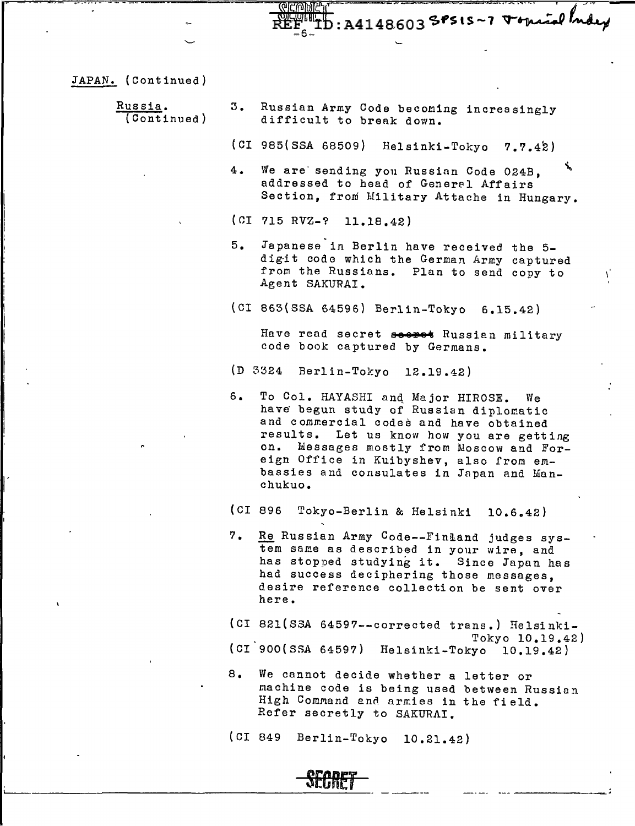<u> एक्टान्कार्तनिर्वा</u> REFERENCE

JAPAN. (Continued}

|   | Russia.<br>(Continued) |    | 3. Russian Army Code becoming increasingly<br>difficult to break down.                                                                                                                                                                                                                                             |
|---|------------------------|----|--------------------------------------------------------------------------------------------------------------------------------------------------------------------------------------------------------------------------------------------------------------------------------------------------------------------|
|   |                        |    | (CI 985(SSA 68509) Helsinki-Tokyo 7.7.42)                                                                                                                                                                                                                                                                          |
|   |                        |    | ٦,<br>4. We are sending you Russian Code 024B.<br>addressed to head of General Affairs<br>Section, from Military Attache in Hungary.                                                                                                                                                                               |
|   |                        |    | $(CI 715 RVZ-? 11.18.42)$                                                                                                                                                                                                                                                                                          |
|   |                        |    | 5. Japanese in Berlin have received the 5-<br>digit code which the German Army captured<br>from the Russians. Plan to send copy to<br>Agent SAKURAI.                                                                                                                                                               |
|   |                        |    | (CI 863(SSA 64596) Berlin-Tokyo 6.15.42)                                                                                                                                                                                                                                                                           |
|   |                        |    | Have read secret seeres Russian military<br>code book captured by Germans.                                                                                                                                                                                                                                         |
|   |                        |    | (D 3324 Berlin-Tokyo 12.19.42)                                                                                                                                                                                                                                                                                     |
|   |                        | 6. | To Col. HAYASHI and Major HIROSE. We<br>have begun study of Russian diplomatic<br>and commercial codes and have obtained<br>results. Let us know how you are getting<br>on. Messages mostly from Moscow and For-<br>eign Office in Kuibyshev, also from em-<br>bassies and consulates in Japan and Man-<br>chukuo. |
|   |                        |    | (CI 896<br>Tokyo-Berlin & Helsinki<br>10.6.42)                                                                                                                                                                                                                                                                     |
| ٠ |                        | 7. | Re Russian Army Code--Finland judges sys-<br>tem same as described in your wire, and<br>has stopped studying it. Since Japan has<br>had success deciphering those messages,<br>desire reference collection be sent over<br>here.                                                                                   |
|   |                        |    | (CI 821(SSA 64597 -- corrected trans.) Helsinki-                                                                                                                                                                                                                                                                   |
|   |                        |    | Tokyo 10.19.42)<br>(CI 900(SSA 64597) Helsinki-Tokyo 10.19.42)                                                                                                                                                                                                                                                     |
|   |                        | 8. | We cannot decide whether a letter or<br>machine code is being used between Russian<br>High Command and armies in the field.<br>Refer secretly to SAKURAI.                                                                                                                                                          |
|   |                        |    | (CI 849<br>Berlin-Tokyo<br>10.21.42)                                                                                                                                                                                                                                                                               |

**SECRET** L-..\_\_\_~----~------~-~~--------~- --~--- ----- --- -------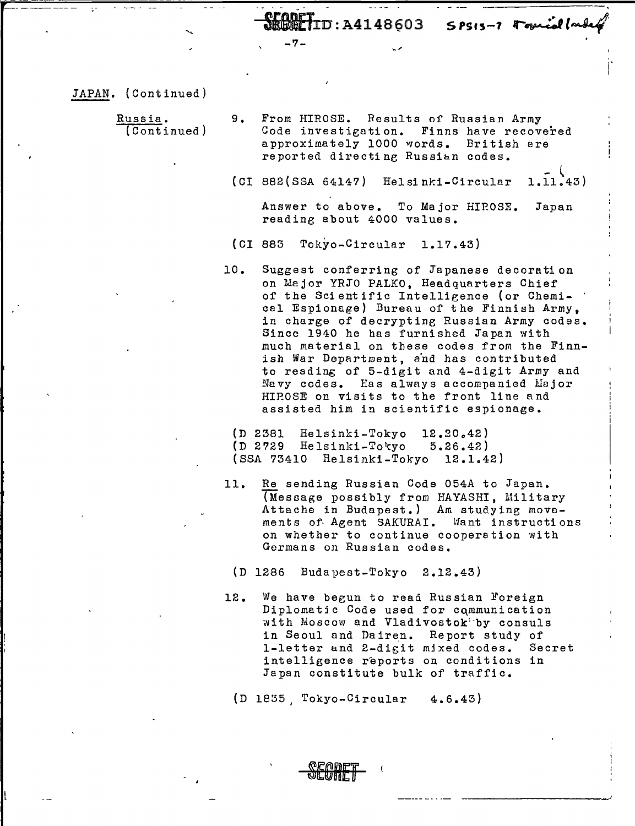$ID:$ A4148603 SPSIS-7 Formial (md

-7-

JAPAN. (Continued)

I i;

: I

Russia. (Continued) 9. From HIROSE. Results of Russian Army Code investigation. Finns have recovered approximately 1000 words. British are reported directing Russian codes.

(CI 882(SSA 64117)  $He1$  sinki-Circular 1.11.43)

Answer to above. To Major HIROSE. Japan reading about 4000 values.

- (CI 883 Tokyo-Circular 1.17.43)
- 10. Suggest conferring of Japanese decoration on Major YRJO PALKO, Headquarters Chief of the Scientific Intellieence (or Chemical Espionage} Bureau of the Finnish Army, in charge of decrypting Russian Army codes. Since 1940 he has furnished Japan with much material on these codes from the Finnish War Department, and has contributed to reading of 5-digit and 4-digit Army and Navy codes. Has always accompanied Major HIP.OSE on visits to the front line and assisted him in scientific espionage.
	- (D 2381 Helsinki-Tokyo 12.20.42)<br>(D 2729 Helsinki-Tokyo 5.26.42) (D 2729 Helsinki-Tokyo (SSA 73410 Helsinki-Tokyo 12.1042)
- 11. Re sending Russian Code 054A to Japan. (Message possibly from HAYASHI, Military Attache in Budapest.) Am studying movements of Agent SAKURAI. Want instructions on whether to continue cooperation with Germans on Russian codes.

(D 1286 Budapest-Tokyo 2.12.43}

12. We have begun to read Russian Foreign Diplomatic Code used for communication with Moscow and Vladivostok'·by consuls in Seoul and Dairen. Report study of 1-letter and 2-digit mjxed codes. Secret intelligence reports on conditions in Japan constitute bulk of traffic.

J

(D 1835, Tokyo-Circular 4.6.43)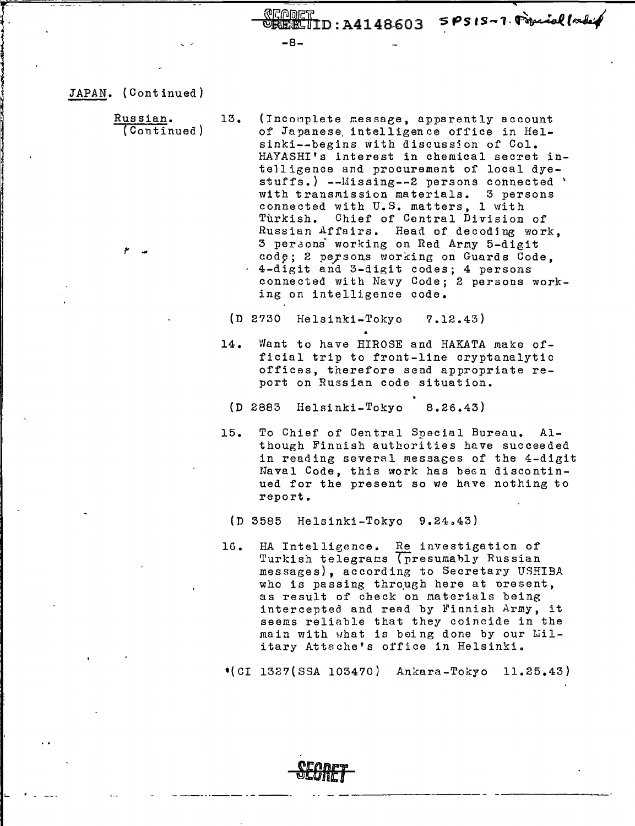Bl1f1n:A414B-603 sPs1s-1.~~t~

...

JAPAN. (Continued)

!' ...

Russian.

'. "

> (Continued) 13. (Incomplete message, apparently account of Japanese, intelligence office in Helsinki--begins with discussion of Col. HAYASHI's interest in chemical secret intelligence and procurement of local dyestuffs.) --Llissing--2 persons connected ' with transmission materials. 3 persons connected with U.S. matters, 1 with Turkish. Chief of Central Division of Russian Affairs. Head of decodjng work, 3 peraoni working on Red Arny 5-digit code; 2 persons working on Guards Code. 4-digit and 3-digit codes; 4 persons connected with Navy Code; 2 persons working on intelligence code.

-8-

(D 2730 Helsinki-Tokyo ?.12.43)

• 14. Want to have HIROSE and HAKATA make official trip to front-line cryptanalytic offices, therefore send appropriate report on Russian code situation.

(D 2883 Helsinki-Tokyo 8.26.43)

- 15. To Chief of Central Special Bureau. Although Finnish authorities have succeeded in reading several messages of the 4-digit Naval Code, this work has been discontinued for the present so we hnve nothing to report.
	- $(D 3585 \text{ Helsinki-Tokvo} 9.24.43)$

**Bf** *BRET* 

16. HA Intelligence. Re investigation of Turkish telegrams (presumably Russian messages), according to Secretary USRIBA who is passing through here at present, as result of check on naterials being intercepted and read by Finnish Army, it seems reliable that they coincide in the main with what is being done by our Military Attache's office in Helsinki.

•(CI 132?(SSA 103470) Ankara-Tokyo 11.25.43)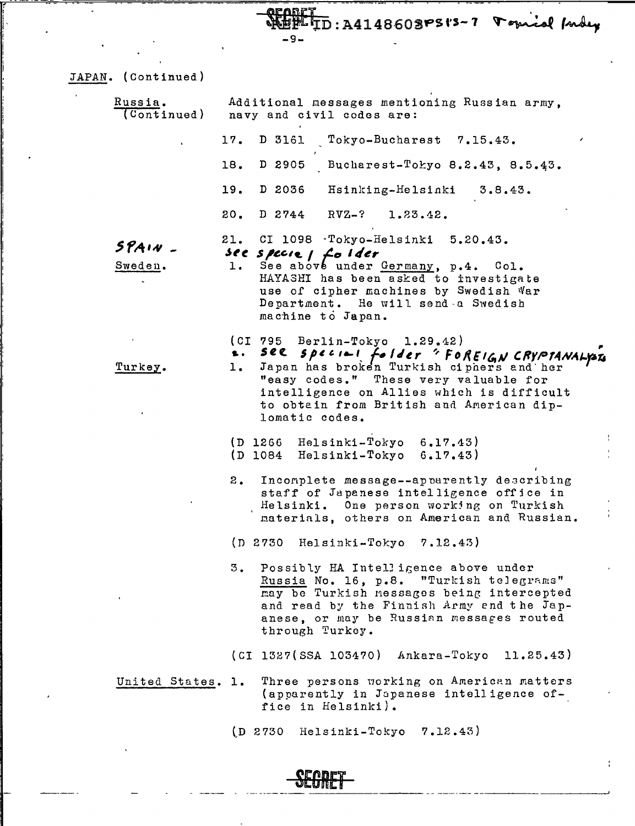**QEABET**<br>WEBETID:A4148603PSt8-7 Porical fordey

JAPAN. (Continued)

 $\ddot{\phantom{1}}$ 

f l [, I

| Russia.<br>(Continued) | Additional messages mentioning Russian army,<br>navy and civil codes are:                                                                                                                                                                                 |  |  |  |  |  |
|------------------------|-----------------------------------------------------------------------------------------------------------------------------------------------------------------------------------------------------------------------------------------------------------|--|--|--|--|--|
|                        | 17.<br>D 3161<br>Tokyo-Bucharest 7.15.43.                                                                                                                                                                                                                 |  |  |  |  |  |
|                        | Bucharest-Tokyo 8.2.43, 8.5.43.<br>18.<br>D 2905                                                                                                                                                                                                          |  |  |  |  |  |
|                        | D 2036<br>19.<br>Hsinking-Helsinki<br>3.8.43.                                                                                                                                                                                                             |  |  |  |  |  |
|                        | 20.<br>$D 2744 RVZ-?$<br>1.23.42.                                                                                                                                                                                                                         |  |  |  |  |  |
| SPAIN<br>Sweden.       | 21. CI 1098 Tokyo-Helsinki 5.20.43.<br>see specie $1$ folder<br>See above under Germany, p.4. Col.<br>1.<br>HAYASHI has been asked to investigate<br>use of cipher machines by Swedish War<br>Department. He will send a Swedish<br>machine to Japan.     |  |  |  |  |  |
| Turkey.                | $(CI 795  Berlin-Tokyo 1.29.42)$<br>see special folder 'FoREIGN CRYPTANALYSES<br>$\pmb{\ast}$ .<br>1.<br>"easy codes." These very valuable for<br>intelligence on Allies which is difficult<br>to obtain from British and American dip-<br>lomatic codes. |  |  |  |  |  |
|                        | $(D 1266$ Helsinki-Tokyo $6.17.43)$<br>$(D 1084$ Helsinki-Tokyo $6.17.43)$                                                                                                                                                                                |  |  |  |  |  |
|                        | Incomplete message--apparently describing<br>2.<br>staff of Japanese intelligence office in<br>Helsinki. One person working on Turkish<br>materials, others on American and Russian.                                                                      |  |  |  |  |  |
|                        | 7.12.43)<br>(D 2730)<br>Helsinki-Tokyo                                                                                                                                                                                                                    |  |  |  |  |  |
|                        | з.<br>Possibly HA Intelligence above under<br>Russia No. 16, p.8. "Turkish telegrams"<br>may be Turkish nessages being intercepted<br>and read by the Finnish Army end the Jap-<br>anese, or may be Russian messages routed<br>through Turkey.            |  |  |  |  |  |
|                        | (CI 1327(SSA 103470) Ankara-Tokyo 11.25.43)                                                                                                                                                                                                               |  |  |  |  |  |
| United States. 1.      | Three persons working on American matters<br>(apparently in Japanese intelligence of-<br>fice in Helsinki).                                                                                                                                               |  |  |  |  |  |
|                        | Helsinki-Tokyo 7.12.43)<br>(D.2730)                                                                                                                                                                                                                       |  |  |  |  |  |

**SEGRET**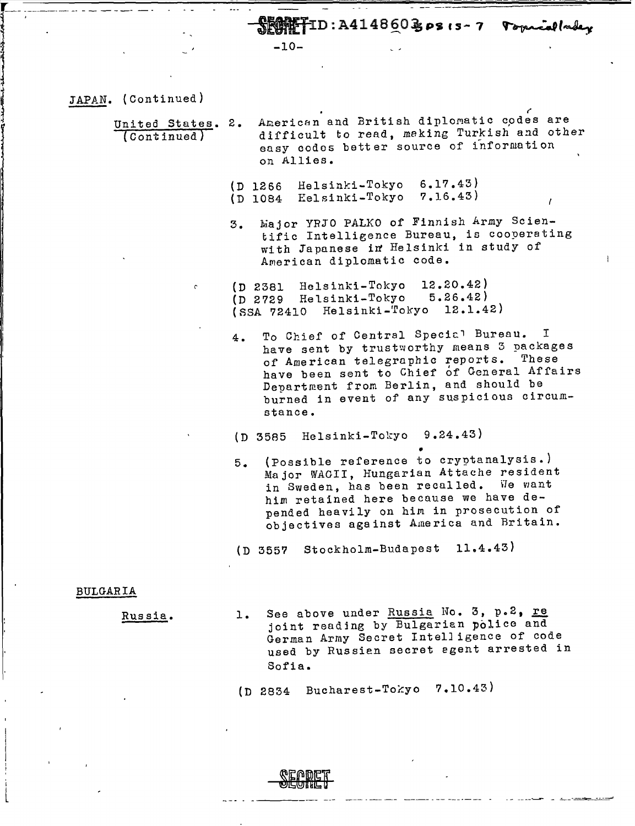$\mathbb{R}$   $\mathbb{R}$  T T D: A414860 B p s 15-7  $\mathbb{R}$  opening lader

-10-

JAPAN. (Continued)

United States. 2. (continued} American and British diplomatic codes are difficult to read, making Turkish and other easy codes better source of information on Allies.

- (D 1266 Helsinki-Tokyo (D 1084 Eel si nl{i-Tokyo 7.16.43) 6.17.43)
- 3. Wajor YRJO PALKO of Finnish Army Scientific Intelligence Bureau, is cooperating with Japanese in Helsinki in study of American diplomatic code.
- {D 2381 Helsinki-Tokyo 12.20.42) {D 2729 Helsinki-Tokyo 5.26.42) (SSA 72410 Helsinki-Tokyo 12.1.42)
	- 4. To Chief of Central Special Bureau. have sent by trustworthy means 3 packages of American telegraphic reports. These have been sent to Chief of General Affairs Department from Berlin, and should be burned in event of any suspicious circumstance.
	- (D 3585 Helsinki-Tokyo 9.24.43}
	- 5. (Possible reference to cryptanalysis.) Major WAGII, Hungarian Attache resident in Sweden, has been recalled. We want him retained here because we have depended heavily on hin in prosecution of objectives against America and Britain.

(D 3557 Stockholm-Budapest 11.4.43)

## BULGARIA

I I•

l

Russia.

1. See above under Russia No. 3, p.2, re joint reading by Bulgarian police and German Army Secret Intelligence of code used by Russien secret egent arrested in Sofia.

- - ----~ - ~--~-=-=-=-'

 $(D 2834$  Bucharest-Tokyo 7.10.43)

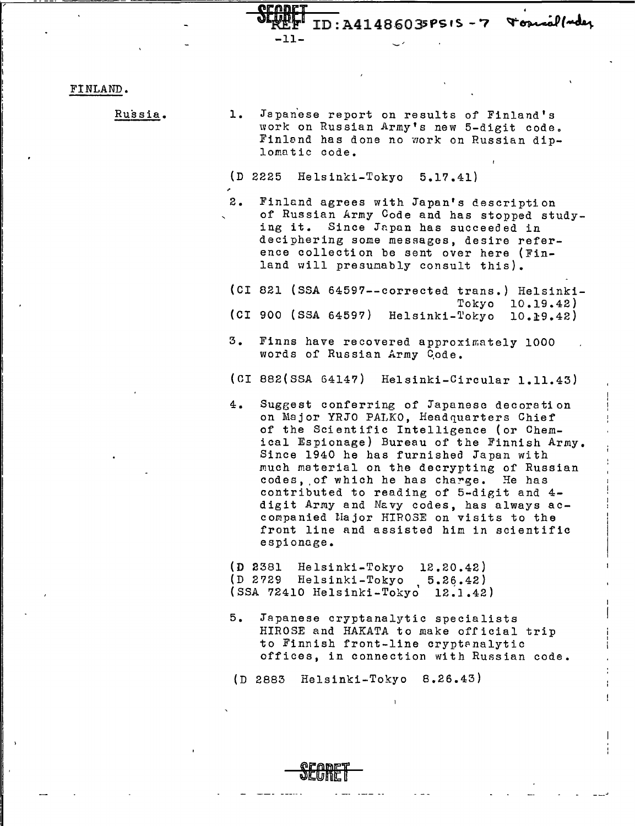Tosual/ader ID: A41486035PSIS-7

## FINLAND.

Russia.

1. Japanese report on results of Finland's work on Russian Army's new 5-digit code. Finland has done no work on Russian diplomatic code.

(D 2225 Helsinki-Tokyo 5.17.41)

-11-

2. Finland agrees with Japan's description of Russian Army Code and has stopped studying it. Since Japan has succeeded in deciphering some messages, desire reference collection be sent over here (Finland will presunably consult this).

(CI 821 (SSA 64597--corrected trans.) Helsinki-Tokyo 10.19.42) (CI 900 (SSA 64597) Helsinki-Tokyo 10.£9.42)

- 3. Finns have recovered approximately 1000 words of Russian Army Code.
- (CI 882(SSA 64147) Helsinki-Circular 1.11.43)
- 4. Sugeest conferring of Japanese decoration on Major YRJO PALKO, Headquarters Chief of the Scientific Intelligence (or Chemical Espionage) Bureau of the Finnish Army. Since 1940 he has furnished Japan with much material on the decrypting of Russian codes, of which he has charge. He has contributed to reading of 5-digit and 4 digit Army and Navy codes, has always accompanied liajor HIROSE on visits to the front line and assisted him in scientific espionage.

(D 2381 Helsinki-Tokyo 12.20.42) (D 2729 Helsinki-Tokyo 5.26.42) (SSA 72410 Helsinki-Tokyd 12~1.42)

5. Japanese cryptanalytic specialists HIROSE and HAKATA to make official trip to Finnish front-line cryptanalytic offices, in connection with Russian code.

(D 2883 Helsinki-Tokyo B.26.43)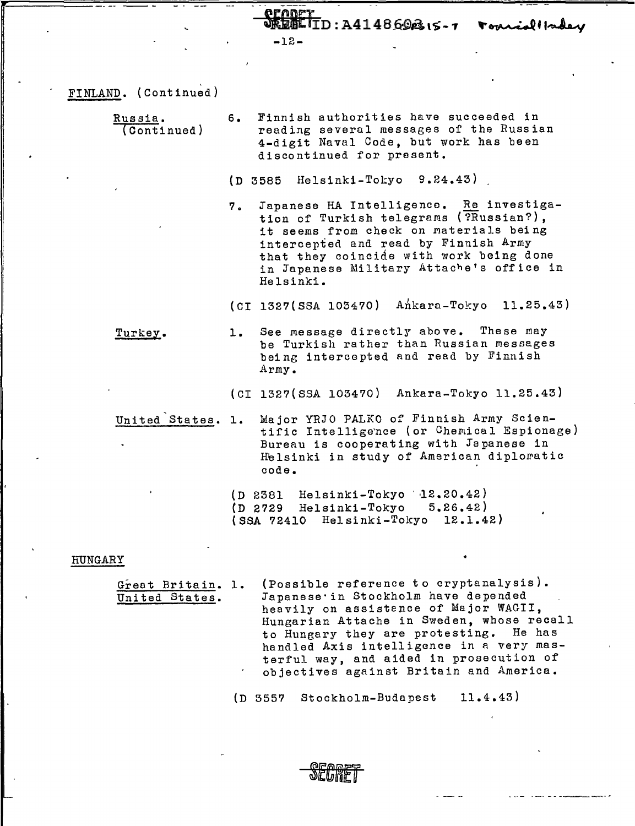$E$ IID:  $A414869B_1s - 7$ -12-

- FINLAND. (Continued)
	- Russia. (Continued) 6. Finnish authorities have succeeded in reading several messages of the Russian 4-digit Naval Code, but work has been discontinued for present.

{D 3585 Helsinki-Tokyo 9.24.43)

7. Japanese HA Intelligence. Re investigation of Turkish telegrams (?Russian?). it seems from check on materials being intercepted and read by Finnish Army that they coincide with work being done in Japanese Military Attache's office in Helsinki.

 $(CI 1327(SSA 105470)$  Ankara-Tokyo 11.25.43)

Turkey. 1. See message directly above. These may be Turkish rather than Russian messages being intercepted and read by Finnish Army.

(CI 1327(SSA 103470) Ankara-Tokyo 11.25.43)

United States. 1. Major YRJO PALKO of Finnish Army Scientific Intelligence (or Chemical Espionage) Bureau is cooperating with Japanese in Helsinki in study of American diplomatic code.

> $(D 2381$  Helsinki-Tokyo  $12.20.42)$ (D 2729 Helsinki-Tokyo 5.26.42) (SSA 72410 Helsinki-Tokyo 12.1.42)

## HUNGARY

 $\mathbf{I}$ ! ,1

! '

Great Britain. 1. United States. (Possible reference to cryptanalysis). Japanese· in Stockholm have depended heavily on assistence of Major WAGII, Hungarian Attache in Sweden, whose recall to Hungary they are protesting. He has handled Axis intelligence in a very masterful way, and aided in prosecution of objectives against Britain and America.

(D 3557 Stockholm-Budapest 11.4.43)